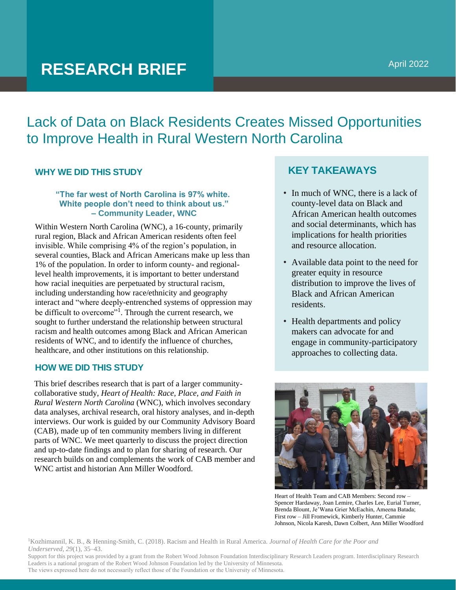# **RESEARCH BRIEF**

Lack of Data on Black Residents Creates Missed Opportunities to Improve Health in Rural Western North Carolina

# **WHY WE DID THIS STUDY**

### **"The far west of North Carolina is 97% white. White people don't need to think about us." – Community Leader, WNC**

Within Western North Carolina (WNC), a 16-county, primarily rural region, Black and African American residents often feel invisible. While comprising 4% of the region's population, in several counties, Black and African Americans make up less than 1% of the population. In order to inform county- and regionallevel health improvements, it is important to better understand how racial inequities are perpetuated by structural racism, including understanding how race/ethnicity and geography interact and "where deeply-entrenched systems of oppression may be difficult to overcome"<sup>1</sup>. Through the current research, we sought to further understand the relationship between structural racism and health outcomes among Black and African American residents of WNC, and to identify the influence of churches, healthcare, and other institutions on this relationship.

# **HOW WE DID THIS STUDY**

This brief describes research that is part of a larger communitycollaborative study, *Heart of Health: Race, Place, and Faith in Rural Western North Carolina* (WNC), which involves secondary data analyses, archival research, oral history analyses, and in-depth interviews. Our work is guided by our Community Advisory Board (CAB), made up of ten community members living in different parts of WNC. We meet quarterly to discuss the project direction and up-to-date findings and to plan for sharing of research. Our research builds on and complements the work of CAB member and WNC artist and historian Ann Miller Woodford.

# **KEY TAKEAWAYS**

- In much of WNC, there is a lack of county-level data on Black and African American health outcomes and social determinants, which has implications for health priorities and resource allocation.
- Available data point to the need for greater equity in resource distribution to improve the lives of Black and African American residents.
- Health departments and policy makers can advocate for and engage in community-participatory approaches to collecting data.



Heart of Health Team and CAB Members: Second row – Spencer Hardaway, Joan Lemire, Charles Lee, Eurial Turner, Brenda Blount, Je'Wana Grier McEachin, Ameena Batada; First row – Jill Fromewick, Kimberly Hunter, Cammie Johnson, Nicola Karesh, Dawn Colbert, Ann Miller Woodford

<sup>1</sup>Kozhimannil, K. B., & Henning-Smith, C. (2018). Racism and Health in Rural America. *Journal of Health Care for the Poor and Underserved*, *29*(1), 35–43.

Support for this project was provided by a grant from the Robert Wood Johnson Foundation Interdisciplinary Research Leaders program. Interdisciplinary Research Leaders is a national program of the Robert Wood Johnson Foundation led by the University of Minnesota. The views expressed here do not necessarily reflect those of the Foundation or the University of Minnesota.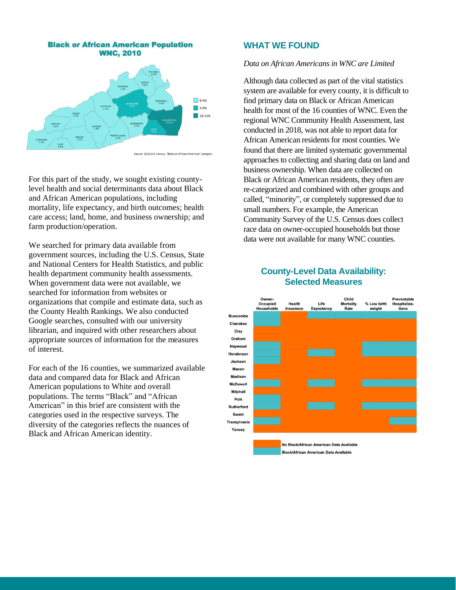

For this part of the study, we sought existing countylevel health and social determinants data about Black and African American populations, including mortality, life expectancy, and birth outcomes; health care access; land, home, and business ownership; and farm production/operation.

We searched for primary data available from government sources, including the U.S. Census, State and National Centers for Health Statistics, and public health department community health assessments. When government data were not available, we searched for information from websites or organizations that compile and estimate data, such as the County Health Rankings. We also conducted Google searches, consulted with our university librarian, and inquired with other researchers about appropriate sources of information for the measures of interest.

For each of the 16 counties, we summarized available data and compared data for Black and African American populations to White and overall populations. The terms "Black" and "African American" in this brief are consistent with the categories used in the respective surveys. The diversity of the categories reflects the nuances of Black and African American identity.

#### **WHAT WE FOUND**

#### *Data on African Americans in WNC are Limited*

Although data collected as part of the vital statistics system are available for every county, it is difficult to find primary data on Black or African American health for most of the 16 counties of WNC. Even the regional WNC Community Health Assessment, last conducted in 2018, was not able to report data for African American residents for most counties. We found that there are limited systematic governmental approaches to collecting and sharing data on land and business ownership. When data are collected on Black or African American residents, they often are re-categorized and combined with other groups and called, "minority", or completely suppressed due to small numbers. For example, the American Community Survey of the U.S. Census does collect race data on owner-occupied households but those data were not available for many WNC counties.

# **County-Level Data Availability: Selected Measures**